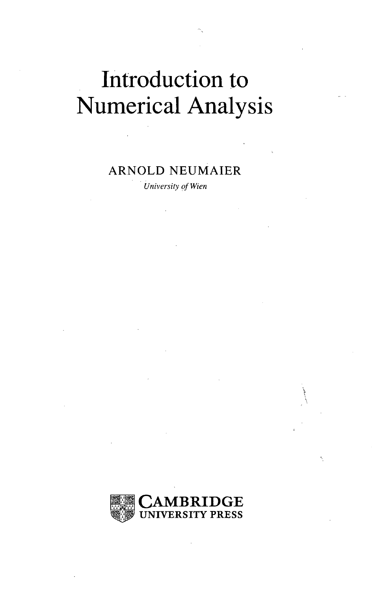## Introduction to Numerical Analysis

## ARNOLD NEUMAIER

*University ofWien*

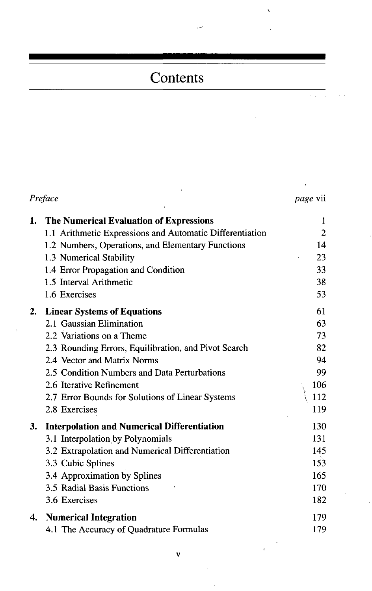## Contents

| Preface | <i>page</i> vii                                                                                                                                                                                                                                                                                                                     |                                                       |
|---------|-------------------------------------------------------------------------------------------------------------------------------------------------------------------------------------------------------------------------------------------------------------------------------------------------------------------------------------|-------------------------------------------------------|
| 1.      | The Numerical Evaluation of Expressions<br>1.1 Arithmetic Expressions and Automatic Differentiation<br>1.2 Numbers, Operations, and Elementary Functions<br>1.3 Numerical Stability<br>1.4 Error Propagation and Condition<br>1.5 Interval Arithmetic<br>1.6 Exercises                                                              | 1<br>2<br>14<br>23<br>33<br>38<br>53                  |
| 2.      | <b>Linear Systems of Equations</b><br>2.1 Gaussian Elimination<br>2.2 Variations on a Theme<br>2.3 Rounding Errors, Equilibration, and Pivot Search<br>2.4 Vector and Matrix Norms<br>2.5 Condition Numbers and Data Perturbations<br>2.6 Iterative Refinement<br>2.7 Error Bounds for Solutions of Linear Systems<br>2.8 Exercises | 61<br>63<br>73<br>82<br>94<br>99<br>106<br>112<br>119 |
| 3.      | <b>Interpolation and Numerical Differentiation</b><br>3.1 Interpolation by Polynomials<br>3.2 Extrapolation and Numerical Differentiation<br>3.3 Cubic Splines<br>3.4 Approximation by Splines<br>3.5 Radial Basis Functions<br>3.6 Exercises                                                                                       | 130<br>131<br>145<br>153<br>165<br>170<br>182         |
| 4.      | <b>Numerical Integration</b><br>4.1 The Accuracy of Quadrature Formulas                                                                                                                                                                                                                                                             | 179<br>179                                            |